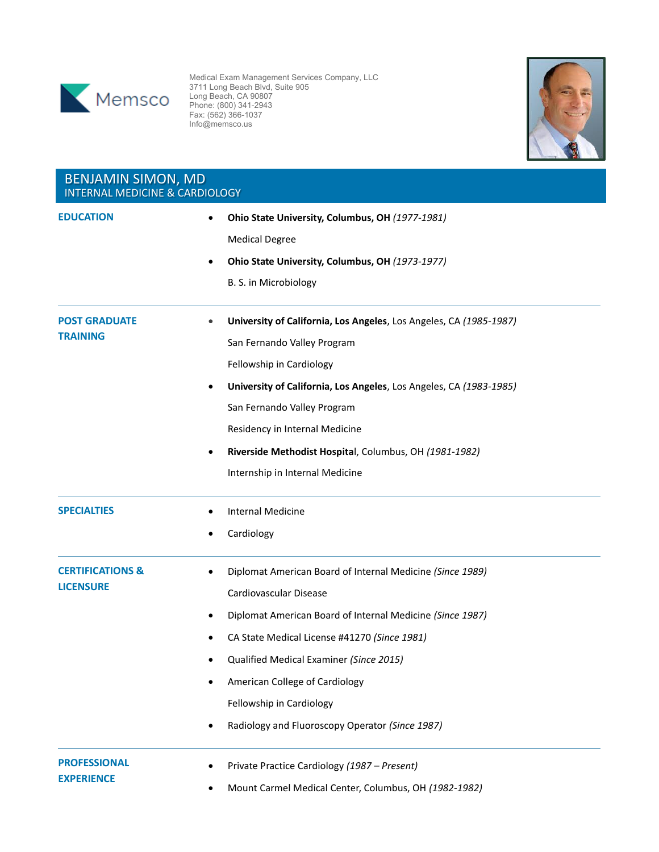

 $\frac{11}{2}$ 

Medical Exam Mana 3711 Long Beach Blvd.  $SCO$  EDITE BOOD (800) Medical Exam Management Services Company, LLC 3711 Long Beach Blvd, Suite 905 Long Beach, CA 90807 Phone: (800) 341-2943 Fax: (562) 366-1037 Info@memsco.us



| <b>BENJAMIN SIMON, MD</b><br><b>INTERNAL MEDICINE &amp; CARDIOLOGY</b> |                                                                                                                                                                                                                                                                                                                                                                           |  |
|------------------------------------------------------------------------|---------------------------------------------------------------------------------------------------------------------------------------------------------------------------------------------------------------------------------------------------------------------------------------------------------------------------------------------------------------------------|--|
| <b>EDUCATION</b>                                                       | Ohio State University, Columbus, OH (1977-1981)<br>$\bullet$<br><b>Medical Degree</b><br>Ohio State University, Columbus, OH (1973-1977)<br>B. S. in Microbiology                                                                                                                                                                                                         |  |
| <b>POST GRADUATE</b><br><b>TRAINING</b>                                | University of California, Los Angeles, Los Angeles, CA (1985-1987)<br>San Fernando Valley Program<br>Fellowship in Cardiology<br>University of California, Los Angeles, Los Angeles, CA (1983-1985)<br>٠<br>San Fernando Valley Program<br>Residency in Internal Medicine<br>Riverside Methodist Hospital, Columbus, OH (1981-1982)<br>Internship in Internal Medicine    |  |
| <b>SPECIALTIES</b>                                                     | <b>Internal Medicine</b><br>Cardiology<br>$\bullet$                                                                                                                                                                                                                                                                                                                       |  |
| <b>CERTIFICATIONS &amp;</b><br><b>LICENSURE</b>                        | Diplomat American Board of Internal Medicine (Since 1989)<br>Cardiovascular Disease<br>Diplomat American Board of Internal Medicine (Since 1987)<br>CA State Medical License #41270 (Since 1981)<br>Qualified Medical Examiner (Since 2015)<br>American College of Cardiology<br>$\bullet$<br>Fellowship in Cardiology<br>Radiology and Fluoroscopy Operator (Since 1987) |  |
| <b>PROFESSIONAL</b><br><b>EXPERIENCE</b>                               | Private Practice Cardiology (1987 - Present)<br>٠<br>Mount Carmel Medical Center, Columbus, OH (1982-1982)                                                                                                                                                                                                                                                                |  |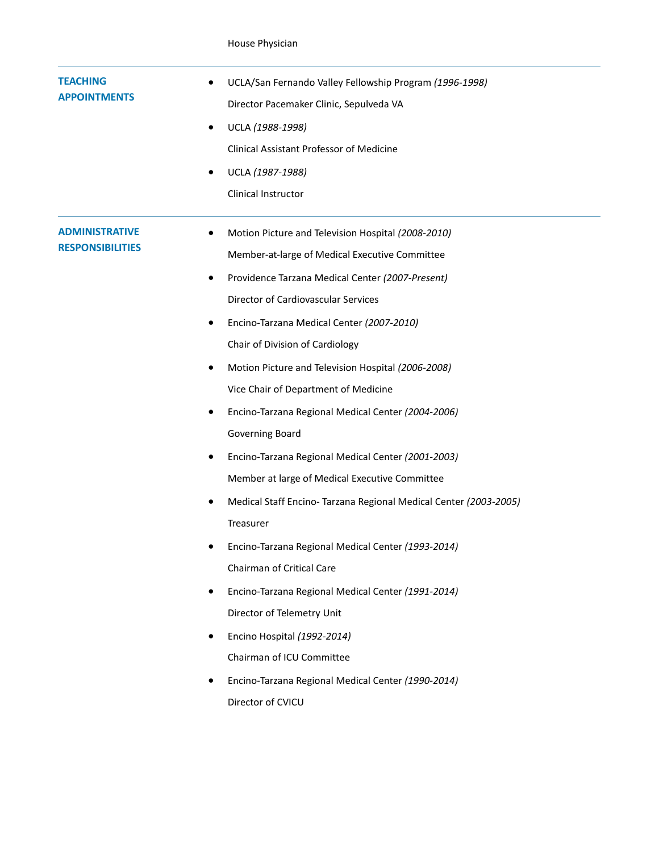| <b>ADMINISTRATIVE</b><br>Motion Picture and Television Hospital (2008-2010)<br><b>RESPONSIBILITIES</b><br>Member-at-large of Medical Executive Committee<br>Providence Tarzana Medical Center (2007-Present)<br>٠<br>Director of Cardiovascular Services<br>Encino-Tarzana Medical Center (2007-2010)<br>٠<br>Chair of Division of Cardiology<br>Motion Picture and Television Hospital (2006-2008)<br>٠<br>Vice Chair of Department of Medicine<br>Encino-Tarzana Regional Medical Center (2004-2006)<br>Governing Board<br>Encino-Tarzana Regional Medical Center (2001-2003)<br>Member at large of Medical Executive Committee<br>Medical Staff Encino- Tarzana Regional Medical Center (2003-2005)<br>$\bullet$<br>Treasurer<br>Encino-Tarzana Regional Medical Center (1993-2014)<br>Chairman of Critical Care<br>Encino-Tarzana Regional Medical Center (1991-2014)<br>Director of Telemetry Unit<br>Encino Hospital (1992-2014)<br>Chairman of ICU Committee<br>Encino-Tarzana Regional Medical Center (1990-2014) | <b>TEACHING</b><br><b>APPOINTMENTS</b> | UCLA/San Fernando Valley Fellowship Program (1996-1998)<br>Director Pacemaker Clinic, Sepulveda VA<br>UCLA (1988-1998)<br>Clinical Assistant Professor of Medicine<br>UCLA (1987-1988)<br>Clinical Instructor |
|---------------------------------------------------------------------------------------------------------------------------------------------------------------------------------------------------------------------------------------------------------------------------------------------------------------------------------------------------------------------------------------------------------------------------------------------------------------------------------------------------------------------------------------------------------------------------------------------------------------------------------------------------------------------------------------------------------------------------------------------------------------------------------------------------------------------------------------------------------------------------------------------------------------------------------------------------------------------------------------------------------------------------|----------------------------------------|---------------------------------------------------------------------------------------------------------------------------------------------------------------------------------------------------------------|
|                                                                                                                                                                                                                                                                                                                                                                                                                                                                                                                                                                                                                                                                                                                                                                                                                                                                                                                                                                                                                           |                                        | Director of CVICU                                                                                                                                                                                             |